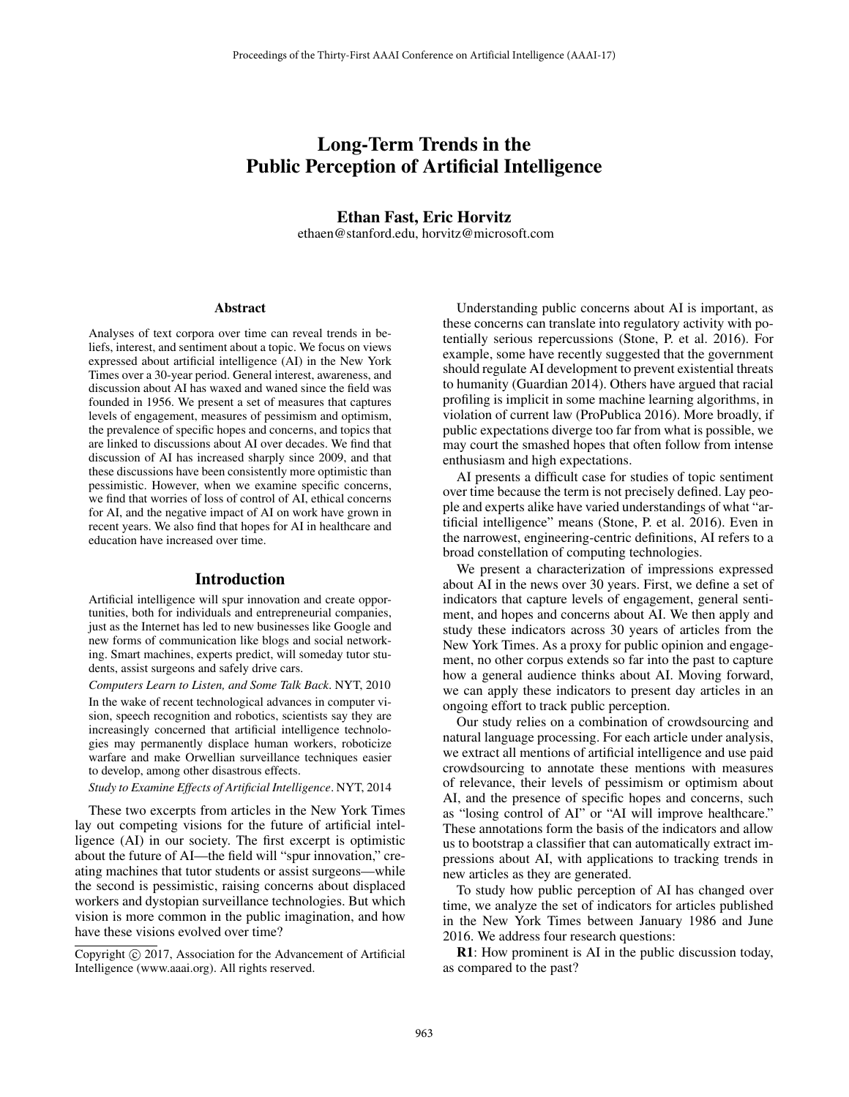# Long-Term Trends in the Public Perception of Artificial Intelligence

Ethan Fast, Eric Horvitz ethaen@stanford.edu, horvitz@microsoft.com

#### **Abstract**

Analyses of text corpora over time can reveal trends in beliefs, interest, and sentiment about a topic. We focus on views expressed about artificial intelligence (AI) in the New York Times over a 30-year period. General interest, awareness, and discussion about AI has waxed and waned since the field was founded in 1956. We present a set of measures that captures levels of engagement, measures of pessimism and optimism, the prevalence of specific hopes and concerns, and topics that are linked to discussions about AI over decades. We find that discussion of AI has increased sharply since 2009, and that these discussions have been consistently more optimistic than pessimistic. However, when we examine specific concerns, we find that worries of loss of control of AI, ethical concerns for AI, and the negative impact of AI on work have grown in recent years. We also find that hopes for AI in healthcare and education have increased over time.

### Introduction

Artificial intelligence will spur innovation and create opportunities, both for individuals and entrepreneurial companies, just as the Internet has led to new businesses like Google and new forms of communication like blogs and social networking. Smart machines, experts predict, will someday tutor students, assist surgeons and safely drive cars.

*Computers Learn to Listen, and Some Talk Back*. NYT, 2010 In the wake of recent technological advances in computer vision, speech recognition and robotics, scientists say they are increasingly concerned that artificial intelligence technologies may permanently displace human workers, roboticize warfare and make Orwellian surveillance techniques easier to develop, among other disastrous effects.

*Study to Examine Effects of Artificial Intelligence*. NYT, 2014

These two excerpts from articles in the New York Times lay out competing visions for the future of artificial intelligence (AI) in our society. The first excerpt is optimistic about the future of AI—the field will "spur innovation," creating machines that tutor students or assist surgeons—while the second is pessimistic, raising concerns about displaced workers and dystopian surveillance technologies. But which vision is more common in the public imagination, and how have these visions evolved over time?

Copyright  $\odot$  2017, Association for the Advancement of Artificial Intelligence (www.aaai.org). All rights reserved.

Understanding public concerns about AI is important, as these concerns can translate into regulatory activity with potentially serious repercussions (Stone, P. et al. 2016). For example, some have recently suggested that the government should regulate AI development to prevent existential threats to humanity (Guardian 2014). Others have argued that racial profiling is implicit in some machine learning algorithms, in violation of current law (ProPublica 2016). More broadly, if public expectations diverge too far from what is possible, we may court the smashed hopes that often follow from intense enthusiasm and high expectations.

AI presents a difficult case for studies of topic sentiment over time because the term is not precisely defined. Lay people and experts alike have varied understandings of what "artificial intelligence" means (Stone, P. et al. 2016). Even in the narrowest, engineering-centric definitions, AI refers to a broad constellation of computing technologies.

We present a characterization of impressions expressed about AI in the news over 30 years. First, we define a set of indicators that capture levels of engagement, general sentiment, and hopes and concerns about AI. We then apply and study these indicators across 30 years of articles from the New York Times. As a proxy for public opinion and engagement, no other corpus extends so far into the past to capture how a general audience thinks about AI. Moving forward, we can apply these indicators to present day articles in an ongoing effort to track public perception.

Our study relies on a combination of crowdsourcing and natural language processing. For each article under analysis, we extract all mentions of artificial intelligence and use paid crowdsourcing to annotate these mentions with measures of relevance, their levels of pessimism or optimism about AI, and the presence of specific hopes and concerns, such as "losing control of AI" or "AI will improve healthcare." These annotations form the basis of the indicators and allow us to bootstrap a classifier that can automatically extract impressions about AI, with applications to tracking trends in new articles as they are generated.

To study how public perception of AI has changed over time, we analyze the set of indicators for articles published in the New York Times between January 1986 and June 2016. We address four research questions:

R1: How prominent is AI in the public discussion today, as compared to the past?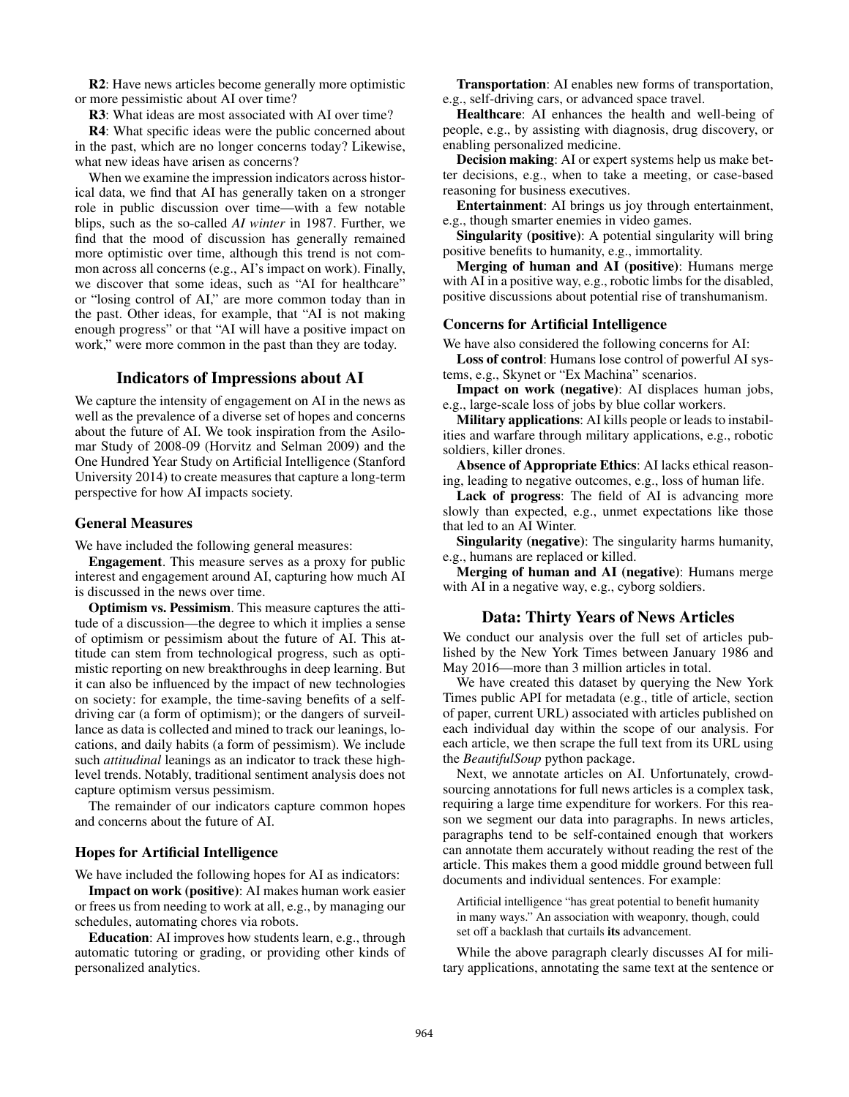R2: Have news articles become generally more optimistic or more pessimistic about AI over time?

R3: What ideas are most associated with AI over time?

R4: What specific ideas were the public concerned about in the past, which are no longer concerns today? Likewise, what new ideas have arisen as concerns?

When we examine the impression indicators across historical data, we find that AI has generally taken on a stronger role in public discussion over time—with a few notable blips, such as the so-called *AI winter* in 1987. Further, we find that the mood of discussion has generally remained more optimistic over time, although this trend is not common across all concerns (e.g., AI's impact on work). Finally, we discover that some ideas, such as "AI for healthcare" or "losing control of AI," are more common today than in the past. Other ideas, for example, that "AI is not making enough progress" or that "AI will have a positive impact on work," were more common in the past than they are today.

## Indicators of Impressions about AI

We capture the intensity of engagement on AI in the news as well as the prevalence of a diverse set of hopes and concerns about the future of AI. We took inspiration from the Asilomar Study of 2008-09 (Horvitz and Selman 2009) and the One Hundred Year Study on Artificial Intelligence (Stanford University 2014) to create measures that capture a long-term perspective for how AI impacts society.

## General Measures

We have included the following general measures:

Engagement. This measure serves as a proxy for public interest and engagement around AI, capturing how much AI is discussed in the news over time.

Optimism vs. Pessimism. This measure captures the attitude of a discussion—the degree to which it implies a sense of optimism or pessimism about the future of AI. This attitude can stem from technological progress, such as optimistic reporting on new breakthroughs in deep learning. But it can also be influenced by the impact of new technologies on society: for example, the time-saving benefits of a selfdriving car (a form of optimism); or the dangers of surveillance as data is collected and mined to track our leanings, locations, and daily habits (a form of pessimism). We include such *attitudinal* leanings as an indicator to track these highlevel trends. Notably, traditional sentiment analysis does not capture optimism versus pessimism.

The remainder of our indicators capture common hopes and concerns about the future of AI.

# Hopes for Artificial Intelligence

We have included the following hopes for AI as indicators:

Impact on work (positive): AI makes human work easier or frees us from needing to work at all, e.g., by managing our schedules, automating chores via robots.

Education: AI improves how students learn, e.g., through automatic tutoring or grading, or providing other kinds of personalized analytics.

Transportation: AI enables new forms of transportation, e.g., self-driving cars, or advanced space travel.

Healthcare: AI enhances the health and well-being of people, e.g., by assisting with diagnosis, drug discovery, or enabling personalized medicine.

Decision making: AI or expert systems help us make better decisions, e.g., when to take a meeting, or case-based reasoning for business executives.

Entertainment: AI brings us joy through entertainment, e.g., though smarter enemies in video games.

Singularity (positive): A potential singularity will bring positive benefits to humanity, e.g., immortality.

Merging of human and AI (positive): Humans merge with AI in a positive way, e.g., robotic limbs for the disabled, positive discussions about potential rise of transhumanism.

### Concerns for Artificial Intelligence

We have also considered the following concerns for AI:

Loss of control: Humans lose control of powerful AI systems, e.g., Skynet or "Ex Machina" scenarios.

Impact on work (negative): AI displaces human jobs, e.g., large-scale loss of jobs by blue collar workers.

Military applications: AI kills people or leads to instabilities and warfare through military applications, e.g., robotic soldiers, killer drones.

Absence of Appropriate Ethics: AI lacks ethical reasoning, leading to negative outcomes, e.g., loss of human life.

Lack of progress: The field of AI is advancing more slowly than expected, e.g., unmet expectations like those that led to an AI Winter.

Singularity (negative): The singularity harms humanity, e.g., humans are replaced or killed.

Merging of human and AI (negative): Humans merge with AI in a negative way, e.g., cyborg soldiers.

### Data: Thirty Years of News Articles

We conduct our analysis over the full set of articles published by the New York Times between January 1986 and May 2016—more than 3 million articles in total.

We have created this dataset by querying the New York Times public API for metadata (e.g., title of article, section of paper, current URL) associated with articles published on each individual day within the scope of our analysis. For each article, we then scrape the full text from its URL using the *BeautifulSoup* python package.

Next, we annotate articles on AI. Unfortunately, crowdsourcing annotations for full news articles is a complex task, requiring a large time expenditure for workers. For this reason we segment our data into paragraphs. In news articles, paragraphs tend to be self-contained enough that workers can annotate them accurately without reading the rest of the article. This makes them a good middle ground between full documents and individual sentences. For example:

Artificial intelligence "has great potential to benefit humanity in many ways." An association with weaponry, though, could set off a backlash that curtails its advancement.

While the above paragraph clearly discusses AI for military applications, annotating the same text at the sentence or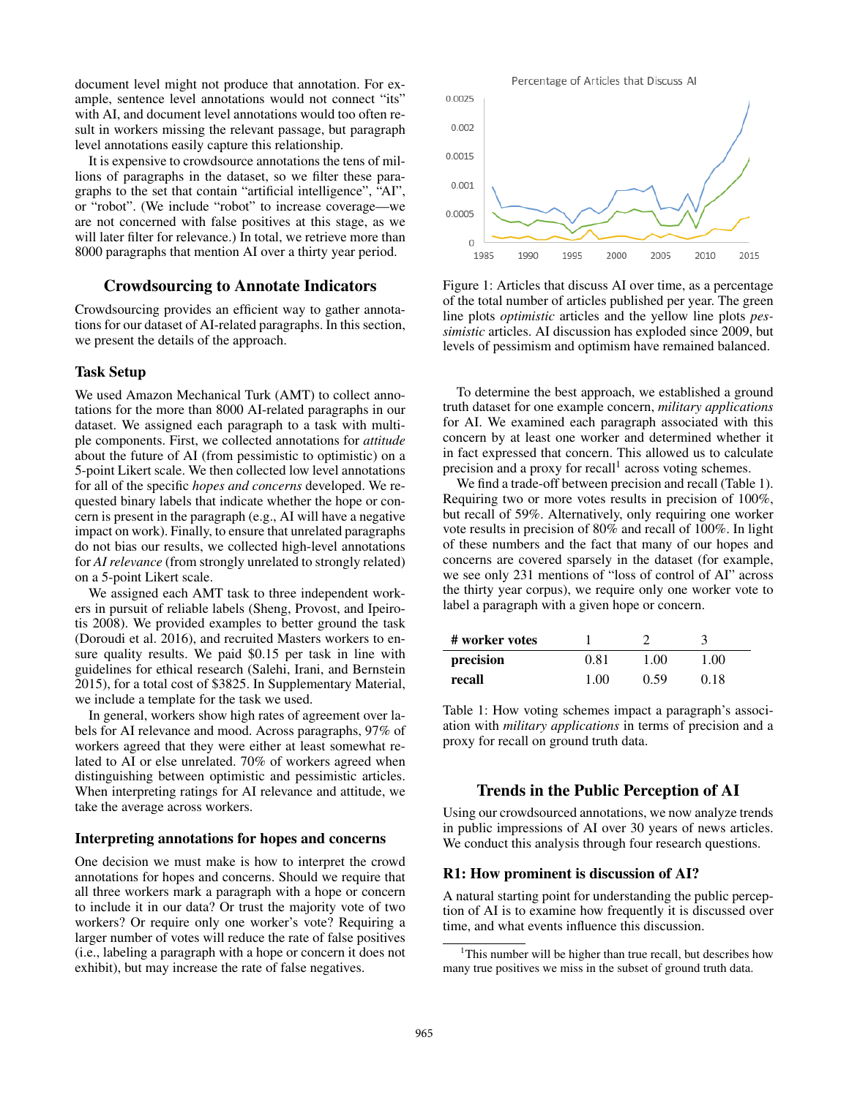document level might not produce that annotation. For example, sentence level annotations would not connect "its" with AI, and document level annotations would too often result in workers missing the relevant passage, but paragraph level annotations easily capture this relationship.

It is expensive to crowdsource annotations the tens of millions of paragraphs in the dataset, so we filter these paragraphs to the set that contain "artificial intelligence", "AI", or "robot". (We include "robot" to increase coverage—we are not concerned with false positives at this stage, as we will later filter for relevance.) In total, we retrieve more than 8000 paragraphs that mention AI over a thirty year period.

### Crowdsourcing to Annotate Indicators

Crowdsourcing provides an efficient way to gather annotations for our dataset of AI-related paragraphs. In this section, we present the details of the approach.

### Task Setup

We used Amazon Mechanical Turk (AMT) to collect annotations for the more than 8000 AI-related paragraphs in our dataset. We assigned each paragraph to a task with multiple components. First, we collected annotations for *attitude* about the future of AI (from pessimistic to optimistic) on a 5-point Likert scale. We then collected low level annotations for all of the specific *hopes and concerns* developed. We requested binary labels that indicate whether the hope or concern is present in the paragraph (e.g., AI will have a negative impact on work). Finally, to ensure that unrelated paragraphs do not bias our results, we collected high-level annotations for *AI relevance* (from strongly unrelated to strongly related) on a 5-point Likert scale.

We assigned each AMT task to three independent workers in pursuit of reliable labels (Sheng, Provost, and Ipeirotis 2008). We provided examples to better ground the task (Doroudi et al. 2016), and recruited Masters workers to ensure quality results. We paid \$0.15 per task in line with guidelines for ethical research (Salehi, Irani, and Bernstein 2015), for a total cost of \$3825. In Supplementary Material, we include a template for the task we used.

In general, workers show high rates of agreement over labels for AI relevance and mood. Across paragraphs, 97% of workers agreed that they were either at least somewhat related to AI or else unrelated. 70% of workers agreed when distinguishing between optimistic and pessimistic articles. When interpreting ratings for AI relevance and attitude, we take the average across workers.

### Interpreting annotations for hopes and concerns

One decision we must make is how to interpret the crowd annotations for hopes and concerns. Should we require that all three workers mark a paragraph with a hope or concern to include it in our data? Or trust the majority vote of two workers? Or require only one worker's vote? Requiring a larger number of votes will reduce the rate of false positives (i.e., labeling a paragraph with a hope or concern it does not exhibit), but may increase the rate of false negatives.



Figure 1: Articles that discuss AI over time, as a percentage of the total number of articles published per year. The green line plots *optimistic* articles and the yellow line plots *pessimistic* articles. AI discussion has exploded since 2009, but levels of pessimism and optimism have remained balanced.

To determine the best approach, we established a ground truth dataset for one example concern, *military applications* for AI. We examined each paragraph associated with this concern by at least one worker and determined whether it in fact expressed that concern. This allowed us to calculate precision and a proxy for recall<sup>1</sup> across voting schemes.

We find a trade-off between precision and recall (Table 1). Requiring two or more votes results in precision of 100%, but recall of 59%. Alternatively, only requiring one worker vote results in precision of 80% and recall of 100%. In light of these numbers and the fact that many of our hopes and concerns are covered sparsely in the dataset (for example, we see only 231 mentions of "loss of control of AI" across the thirty year corpus), we require only one worker vote to label a paragraph with a given hope or concern.

| # worker votes |      |      |      |
|----------------|------|------|------|
| precision      | 0.81 | 1.00 | 1.00 |
| recall         | 1.00 | 0.59 | 0.18 |

Table 1: How voting schemes impact a paragraph's association with *military applications* in terms of precision and a proxy for recall on ground truth data.

# Trends in the Public Perception of AI

Using our crowdsourced annotations, we now analyze trends in public impressions of AI over 30 years of news articles. We conduct this analysis through four research questions.

### R1: How prominent is discussion of AI?

A natural starting point for understanding the public perception of AI is to examine how frequently it is discussed over time, and what events influence this discussion.

<sup>&</sup>lt;sup>1</sup>This number will be higher than true recall, but describes how many true positives we miss in the subset of ground truth data.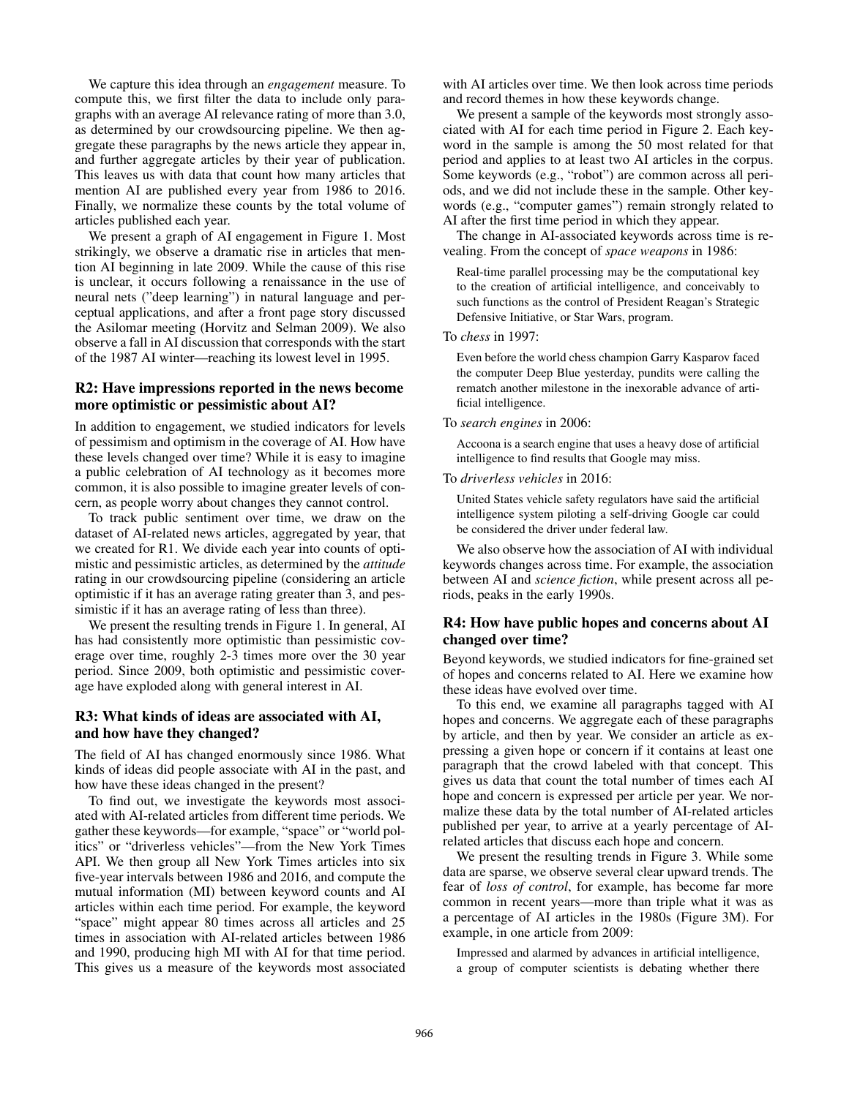We capture this idea through an *engagement* measure. To compute this, we first filter the data to include only paragraphs with an average AI relevance rating of more than 3.0, as determined by our crowdsourcing pipeline. We then aggregate these paragraphs by the news article they appear in, and further aggregate articles by their year of publication. This leaves us with data that count how many articles that mention AI are published every year from 1986 to 2016. Finally, we normalize these counts by the total volume of articles published each year.

We present a graph of AI engagement in Figure 1. Most strikingly, we observe a dramatic rise in articles that mention AI beginning in late 2009. While the cause of this rise is unclear, it occurs following a renaissance in the use of neural nets ("deep learning") in natural language and perceptual applications, and after a front page story discussed the Asilomar meeting (Horvitz and Selman 2009). We also observe a fall in AI discussion that corresponds with the start of the 1987 AI winter—reaching its lowest level in 1995.

# R2: Have impressions reported in the news become more optimistic or pessimistic about AI?

In addition to engagement, we studied indicators for levels of pessimism and optimism in the coverage of AI. How have these levels changed over time? While it is easy to imagine a public celebration of AI technology as it becomes more common, it is also possible to imagine greater levels of concern, as people worry about changes they cannot control.

To track public sentiment over time, we draw on the dataset of AI-related news articles, aggregated by year, that we created for R1. We divide each year into counts of optimistic and pessimistic articles, as determined by the *attitude* rating in our crowdsourcing pipeline (considering an article optimistic if it has an average rating greater than 3, and pessimistic if it has an average rating of less than three).

We present the resulting trends in Figure 1. In general, AI has had consistently more optimistic than pessimistic coverage over time, roughly 2-3 times more over the 30 year period. Since 2009, both optimistic and pessimistic coverage have exploded along with general interest in AI.

# R3: What kinds of ideas are associated with AI, and how have they changed?

The field of AI has changed enormously since 1986. What kinds of ideas did people associate with AI in the past, and how have these ideas changed in the present?

To find out, we investigate the keywords most associated with AI-related articles from different time periods. We gather these keywords—for example, "space" or "world politics" or "driverless vehicles"—from the New York Times API. We then group all New York Times articles into six five-year intervals between 1986 and 2016, and compute the mutual information (MI) between keyword counts and AI articles within each time period. For example, the keyword "space" might appear 80 times across all articles and 25 times in association with AI-related articles between 1986 and 1990, producing high MI with AI for that time period. This gives us a measure of the keywords most associated

with AI articles over time. We then look across time periods and record themes in how these keywords change.

We present a sample of the keywords most strongly associated with AI for each time period in Figure 2. Each keyword in the sample is among the 50 most related for that period and applies to at least two AI articles in the corpus. Some keywords (e.g., "robot") are common across all periods, and we did not include these in the sample. Other keywords (e.g., "computer games") remain strongly related to AI after the first time period in which they appear.

The change in AI-associated keywords across time is revealing. From the concept of *space weapons* in 1986:

Real-time parallel processing may be the computational key to the creation of artificial intelligence, and conceivably to such functions as the control of President Reagan's Strategic Defensive Initiative, or Star Wars, program.

To *chess* in 1997:

Even before the world chess champion Garry Kasparov faced the computer Deep Blue yesterday, pundits were calling the rematch another milestone in the inexorable advance of artificial intelligence.

### To *search engines* in 2006:

Accoona is a search engine that uses a heavy dose of artificial intelligence to find results that Google may miss.

### To *driverless vehicles* in 2016:

United States vehicle safety regulators have said the artificial intelligence system piloting a self-driving Google car could be considered the driver under federal law.

We also observe how the association of AI with individual keywords changes across time. For example, the association between AI and *science fiction*, while present across all periods, peaks in the early 1990s.

# R4: How have public hopes and concerns about AI changed over time?

Beyond keywords, we studied indicators for fine-grained set of hopes and concerns related to AI. Here we examine how these ideas have evolved over time.

To this end, we examine all paragraphs tagged with AI hopes and concerns. We aggregate each of these paragraphs by article, and then by year. We consider an article as expressing a given hope or concern if it contains at least one paragraph that the crowd labeled with that concept. This gives us data that count the total number of times each AI hope and concern is expressed per article per year. We normalize these data by the total number of AI-related articles published per year, to arrive at a yearly percentage of AIrelated articles that discuss each hope and concern.

We present the resulting trends in Figure 3. While some data are sparse, we observe several clear upward trends. The fear of *loss of control*, for example, has become far more common in recent years—more than triple what it was as a percentage of AI articles in the 1980s (Figure 3M). For example, in one article from 2009:

Impressed and alarmed by advances in artificial intelligence, a group of computer scientists is debating whether there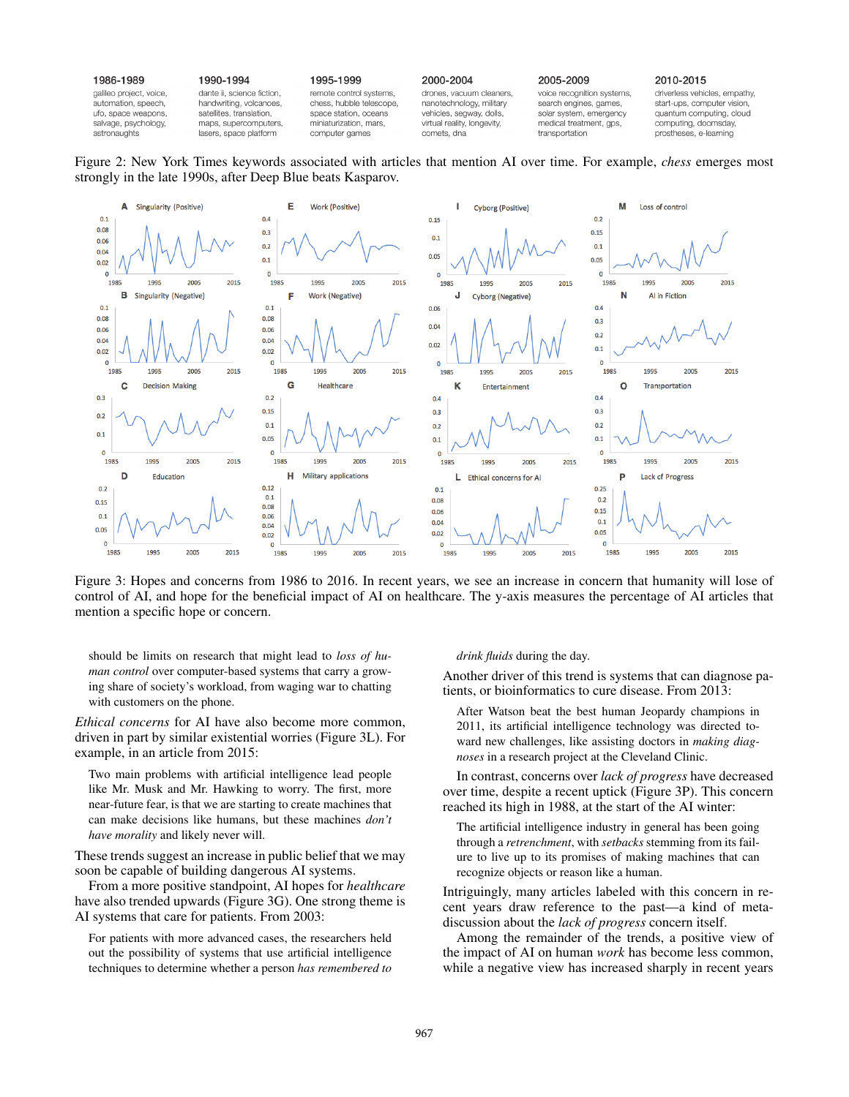| 1986-1989               | 1990-1994                  | 1995-1999                | 2000-2004                   | 2005-2009                  | 2010-2015                     |
|-------------------------|----------------------------|--------------------------|-----------------------------|----------------------------|-------------------------------|
| galileo project, voice, | dante ii, science fiction. | remote control systems,  | drones, vacuum cleaners,    | voice recognition systems, | driverless vehicles, empathy, |
| automation, speech,     | handwriting, volcanoes,    | chess, hubble telescope, | nanotechnology, military    | search engines, games,     | start-ups, computer vision,   |
| ufo, space weapons,     | satellites, translation,   | space station, oceans    | vehicles, segway, dolls,    | solar system, emergency    | quantum computing, cloud      |
| salvage, psychology,    | maps, supercomputers,      | miniaturization, mars,   | virtual reality, longevity, | medical treatment, gps,    | computing, doomsday,          |
| astronaughts            | lasers, space platform     | computer games           | comets, dna                 | transportation             | prostheses, e-learning        |

Figure 2: New York Times keywords associated with articles that mention AI over time. For example, *chess* emerges most strongly in the late 1990s, after Deep Blue beats Kasparov.



Figure 3: Hopes and concerns from 1986 to 2016. In recent years, we see an increase in concern that humanity will lose of control of AI, and hope for the beneficial impact of AI on healthcare. The y-axis measures the percentage of AI articles that mention a specific hope or concern.

should be limits on research that might lead to *loss of human control* over computer-based systems that carry a growing share of society's workload, from waging war to chatting with customers on the phone.

*Ethical concerns* for AI have also become more common, driven in part by similar existential worries (Figure 3L). For example, in an article from 2015:

Two main problems with artificial intelligence lead people like Mr. Musk and Mr. Hawking to worry. The first, more near-future fear, is that we are starting to create machines that can make decisions like humans, but these machines *don't have morality* and likely never will.

These trends suggest an increase in public belief that we may soon be capable of building dangerous AI systems.

From a more positive standpoint, AI hopes for *healthcare* have also trended upwards (Figure 3G). One strong theme is AI systems that care for patients. From 2003:

For patients with more advanced cases, the researchers held out the possibility of systems that use artificial intelligence techniques to determine whether a person *has remembered to*

#### *drink fluids* during the day.

Another driver of this trend is systems that can diagnose patients, or bioinformatics to cure disease. From 2013:

After Watson beat the best human Jeopardy champions in 2011, its artificial intelligence technology was directed toward new challenges, like assisting doctors in *making diagnoses* in a research project at the Cleveland Clinic.

In contrast, concerns over *lack of progress* have decreased over time, despite a recent uptick (Figure 3P). This concern reached its high in 1988, at the start of the AI winter:

The artificial intelligence industry in general has been going through a *retrenchment*, with *setbacks* stemming from its failure to live up to its promises of making machines that can recognize objects or reason like a human.

Intriguingly, many articles labeled with this concern in recent years draw reference to the past—a kind of metadiscussion about the *lack of progress* concern itself.

Among the remainder of the trends, a positive view of the impact of AI on human *work* has become less common, while a negative view has increased sharply in recent years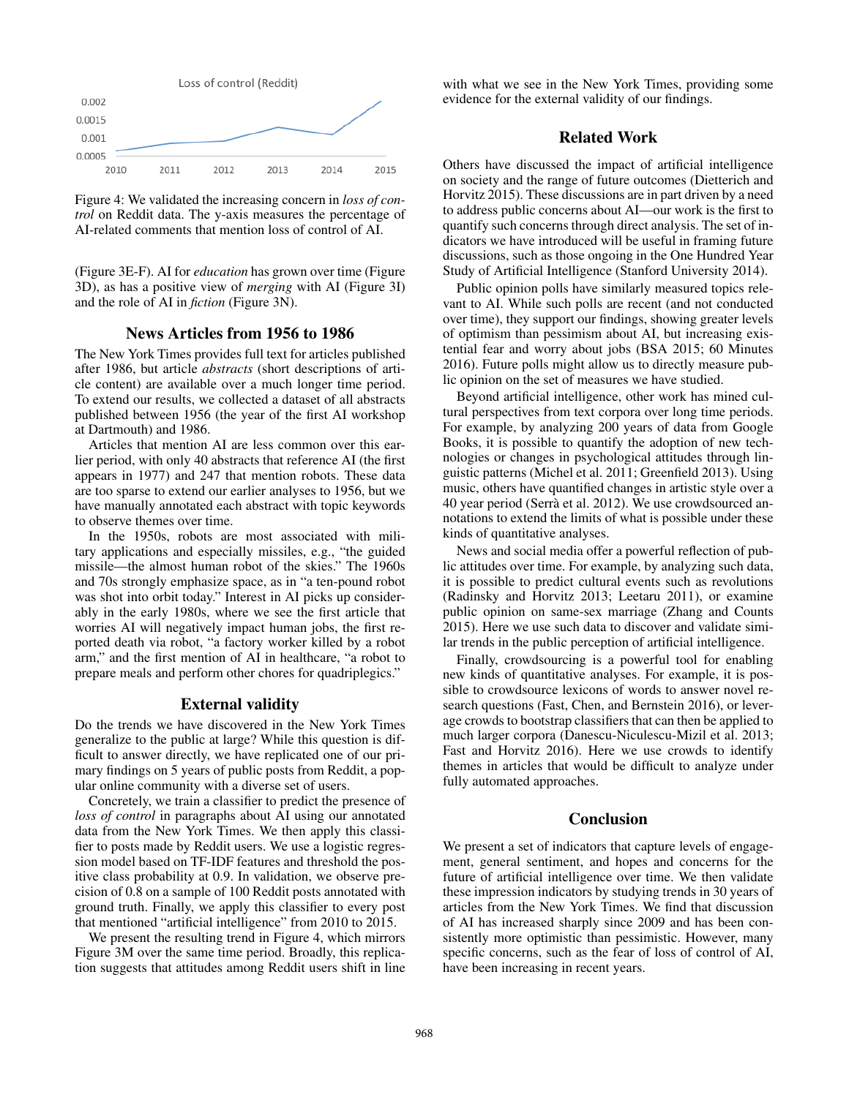

Figure 4: We validated the increasing concern in *loss of control* on Reddit data. The y-axis measures the percentage of AI-related comments that mention loss of control of AI.

(Figure 3E-F). AI for *education* has grown over time (Figure 3D), as has a positive view of *merging* with AI (Figure 3I) and the role of AI in *fiction* (Figure 3N).

### News Articles from 1956 to 1986

The New York Times provides full text for articles published after 1986, but article *abstracts* (short descriptions of article content) are available over a much longer time period. To extend our results, we collected a dataset of all abstracts published between 1956 (the year of the first AI workshop at Dartmouth) and 1986.

Articles that mention AI are less common over this earlier period, with only 40 abstracts that reference AI (the first appears in 1977) and 247 that mention robots. These data are too sparse to extend our earlier analyses to 1956, but we have manually annotated each abstract with topic keywords to observe themes over time.

In the 1950s, robots are most associated with military applications and especially missiles, e.g., "the guided missile—the almost human robot of the skies." The 1960s and 70s strongly emphasize space, as in "a ten-pound robot was shot into orbit today." Interest in AI picks up considerably in the early 1980s, where we see the first article that worries AI will negatively impact human jobs, the first reported death via robot, "a factory worker killed by a robot arm," and the first mention of AI in healthcare, "a robot to prepare meals and perform other chores for quadriplegics."

### External validity

Do the trends we have discovered in the New York Times generalize to the public at large? While this question is difficult to answer directly, we have replicated one of our primary findings on 5 years of public posts from Reddit, a popular online community with a diverse set of users.

Concretely, we train a classifier to predict the presence of *loss of control* in paragraphs about AI using our annotated data from the New York Times. We then apply this classifier to posts made by Reddit users. We use a logistic regression model based on TF-IDF features and threshold the positive class probability at 0.9. In validation, we observe precision of 0.8 on a sample of 100 Reddit posts annotated with ground truth. Finally, we apply this classifier to every post that mentioned "artificial intelligence" from 2010 to 2015.

We present the resulting trend in Figure 4, which mirrors Figure 3M over the same time period. Broadly, this replication suggests that attitudes among Reddit users shift in line

with what we see in the New York Times, providing some evidence for the external validity of our findings.

# Related Work

Others have discussed the impact of artificial intelligence on society and the range of future outcomes (Dietterich and Horvitz 2015). These discussions are in part driven by a need to address public concerns about AI—our work is the first to quantify such concerns through direct analysis. The set of indicators we have introduced will be useful in framing future discussions, such as those ongoing in the One Hundred Year Study of Artificial Intelligence (Stanford University 2014).

Public opinion polls have similarly measured topics relevant to AI. While such polls are recent (and not conducted over time), they support our findings, showing greater levels of optimism than pessimism about AI, but increasing existential fear and worry about jobs (BSA 2015; 60 Minutes 2016). Future polls might allow us to directly measure public opinion on the set of measures we have studied.

Beyond artificial intelligence, other work has mined cultural perspectives from text corpora over long time periods. For example, by analyzing 200 years of data from Google Books, it is possible to quantify the adoption of new technologies or changes in psychological attitudes through linguistic patterns (Michel et al. 2011; Greenfield 2013). Using music, others have quantified changes in artistic style over a 40 year period (Serrà et al. 2012). We use crowdsourced annotations to extend the limits of what is possible under these kinds of quantitative analyses.

News and social media offer a powerful reflection of public attitudes over time. For example, by analyzing such data, it is possible to predict cultural events such as revolutions (Radinsky and Horvitz 2013; Leetaru 2011), or examine public opinion on same-sex marriage (Zhang and Counts 2015). Here we use such data to discover and validate similar trends in the public perception of artificial intelligence.

Finally, crowdsourcing is a powerful tool for enabling new kinds of quantitative analyses. For example, it is possible to crowdsource lexicons of words to answer novel research questions (Fast, Chen, and Bernstein 2016), or leverage crowds to bootstrap classifiers that can then be applied to much larger corpora (Danescu-Niculescu-Mizil et al. 2013; Fast and Horvitz 2016). Here we use crowds to identify themes in articles that would be difficult to analyze under fully automated approaches.

## Conclusion

We present a set of indicators that capture levels of engagement, general sentiment, and hopes and concerns for the future of artificial intelligence over time. We then validate these impression indicators by studying trends in 30 years of articles from the New York Times. We find that discussion of AI has increased sharply since 2009 and has been consistently more optimistic than pessimistic. However, many specific concerns, such as the fear of loss of control of AI, have been increasing in recent years.